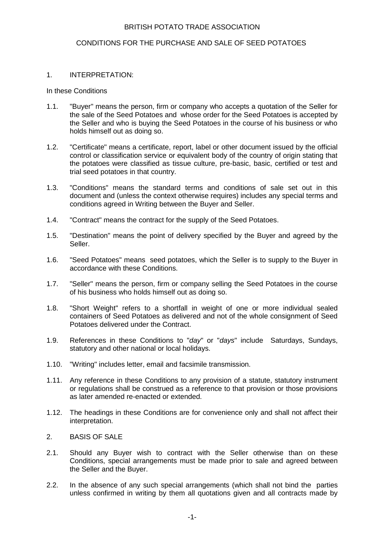# BRITISH POTATO TRADE ASSOCIATION

# CONDITIONS FOR THE PURCHASE AND SALE OF SEED POTATOES

# 1. INTERPRETATION:

#### In these Conditions

- 1.1. "Buyer" means the person, firm or company who accepts a quotation of the Seller for the sale of the Seed Potatoes and whose order for the Seed Potatoes is accepted by the Seller and who is buying the Seed Potatoes in the course of his business or who holds himself out as doing so.
- 1.2. "Certificate" means a certificate, report, label or other document issued by the official control or classification service or equivalent body of the country of origin stating that the potatoes were classified as tissue culture, pre-basic, basic, certified or test and trial seed potatoes in that country.
- 1.3. "Conditions" means the standard terms and conditions of sale set out in this document and (unless the context otherwise requires) includes any special terms and conditions agreed in Writing between the Buyer and Seller.
- 1.4. "Contract" means the contract for the supply of the Seed Potatoes.
- 1.5. "Destination" means the point of delivery specified by the Buyer and agreed by the Seller.
- 1.6. "Seed Potatoes" means seed potatoes, which the Seller is to supply to the Buyer in accordance with these Conditions.
- 1.7. "Seller" means the person, firm or company selling the Seed Potatoes in the course of his business who holds himself out as doing so.
- 1.8. "Short Weight" refers to a shortfall in weight of one or more individual sealed containers of Seed Potatoes as delivered and not of the whole consignment of Seed Potatoes delivered under the Contract.
- 1.9. References in these Conditions to "day" or "days" include Saturdays, Sundays, statutory and other national or local holidays.
- 1.10. "Writing" includes letter, email and facsimile transmission.
- 1.11. Any reference in these Conditions to any provision of a statute, statutory instrument or regulations shall be construed as a reference to that provision or those provisions as later amended re-enacted or extended.
- 1.12. The headings in these Conditions are for convenience only and shall not affect their interpretation.
- 2. BASIS OF SALE
- 2.1. Should any Buyer wish to contract with the Seller otherwise than on these Conditions, special arrangements must be made prior to sale and agreed between the Seller and the Buyer.
- 2.2. In the absence of any such special arrangements (which shall not bind the parties unless confirmed in writing by them all quotations given and all contracts made by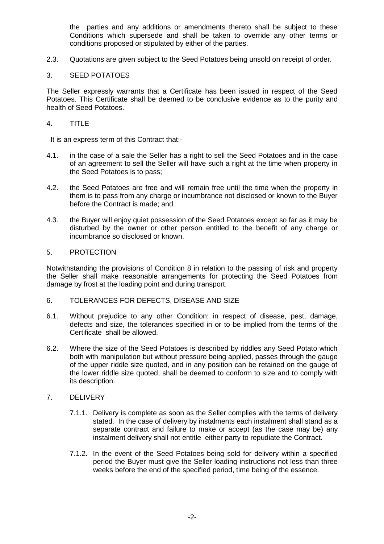the parties and any additions or amendments thereto shall be subject to these Conditions which supersede and shall be taken to override any other terms or conditions proposed or stipulated by either of the parties.

2.3. Quotations are given subject to the Seed Potatoes being unsold on receipt of order.

# 3. SEED POTATOES

The Seller expressly warrants that a Certificate has been issued in respect of the Seed Potatoes. This Certificate shall be deemed to be conclusive evidence as to the purity and health of Seed Potatoes.

# 4. TITLE

It is an express term of this Contract that:-

- 4.1. in the case of a sale the Seller has a right to sell the Seed Potatoes and in the case of an agreement to sell the Seller will have such a right at the time when property in the Seed Potatoes is to pass;
- 4.2. the Seed Potatoes are free and will remain free until the time when the property in them is to pass from any charge or incumbrance not disclosed or known to the Buyer before the Contract is made; and
- 4.3. the Buyer will enjoy quiet possession of the Seed Potatoes except so far as it may be disturbed by the owner or other person entitled to the benefit of any charge or incumbrance so disclosed or known.

# 5. PROTECTION

Notwithstanding the provisions of Condition 8 in relation to the passing of risk and property the Seller shall make reasonable arrangements for protecting the Seed Potatoes from damage by frost at the loading point and during transport.

- 6. TOLERANCES FOR DEFECTS, DISEASE AND SIZE
- 6.1. Without prejudice to any other Condition: in respect of disease, pest, damage, defects and size, the tolerances specified in or to be implied from the terms of the Certificate shall be allowed.
- 6.2. Where the size of the Seed Potatoes is described by riddles any Seed Potato which both with manipulation but without pressure being applied, passes through the gauge of the upper riddle size quoted, and in any position can be retained on the gauge of the lower riddle size quoted, shall be deemed to conform to size and to comply with its description.

#### 7. DELIVERY

- 7.1.1. Delivery is complete as soon as the Seller complies with the terms of delivery stated. In the case of delivery by instalments each instalment shall stand as a separate contract and failure to make or accept (as the case may be) any instalment delivery shall not entitle either party to repudiate the Contract.
- 7.1.2. In the event of the Seed Potatoes being sold for delivery within a specified period the Buyer must give the Seller loading instructions not less than three weeks before the end of the specified period, time being of the essence.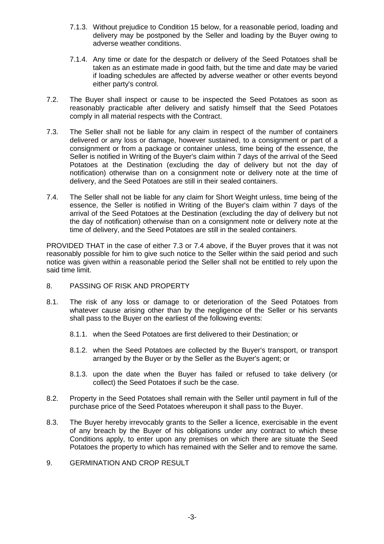- 7.1.3. Without prejudice to Condition 15 below, for a reasonable period, loading and delivery may be postponed by the Seller and loading by the Buyer owing to adverse weather conditions.
- 7.1.4. Any time or date for the despatch or delivery of the Seed Potatoes shall be taken as an estimate made in good faith, but the time and date may be varied if loading schedules are affected by adverse weather or other events beyond either party's control.
- 7.2. The Buyer shall inspect or cause to be inspected the Seed Potatoes as soon as reasonably practicable after delivery and satisfy himself that the Seed Potatoes comply in all material respects with the Contract.
- 7.3. The Seller shall not be liable for any claim in respect of the number of containers delivered or any loss or damage, however sustained, to a consignment or part of a consignment or from a package or container unless, time being of the essence, the Seller is notified in Writing of the Buyer's claim within 7 days of the arrival of the Seed Potatoes at the Destination (excluding the day of delivery but not the day of notification) otherwise than on a consignment note or delivery note at the time of delivery, and the Seed Potatoes are still in their sealed containers.
- 7.4. The Seller shall not be liable for any claim for Short Weight unless, time being of the essence, the Seller is notified in Writing of the Buyer's claim within 7 days of the arrival of the Seed Potatoes at the Destination (excluding the day of delivery but not the day of notification) otherwise than on a consignment note or delivery note at the time of delivery, and the Seed Potatoes are still in the sealed containers.

PROVIDED THAT in the case of either 7.3 or 7.4 above, if the Buyer proves that it was not reasonably possible for him to give such notice to the Seller within the said period and such notice was given within a reasonable period the Seller shall not be entitled to rely upon the said time limit.

- 8. PASSING OF RISK AND PROPERTY
- 8.1. The risk of any loss or damage to or deterioration of the Seed Potatoes from whatever cause arising other than by the negligence of the Seller or his servants shall pass to the Buyer on the earliest of the following events:
	- 8.1.1. when the Seed Potatoes are first delivered to their Destination; or
	- 8.1.2. when the Seed Potatoes are collected by the Buyer's transport, or transport arranged by the Buyer or by the Seller as the Buyer's agent; or
	- 8.1.3. upon the date when the Buyer has failed or refused to take delivery (or collect) the Seed Potatoes if such be the case.
- 8.2. Property in the Seed Potatoes shall remain with the Seller until payment in full of the purchase price of the Seed Potatoes whereupon it shall pass to the Buyer.
- 8.3. The Buyer hereby irrevocably grants to the Seller a licence, exercisable in the event of any breach by the Buyer of his obligations under any contract to which these Conditions apply, to enter upon any premises on which there are situate the Seed Potatoes the property to which has remained with the Seller and to remove the same.
- 9. GERMINATION AND CROP RESULT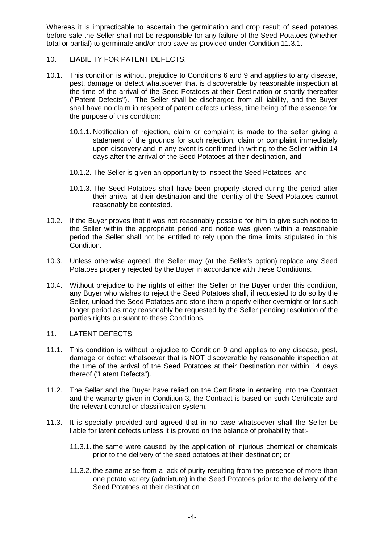Whereas it is impracticable to ascertain the germination and crop result of seed potatoes before sale the Seller shall not be responsible for any failure of the Seed Potatoes (whether total or partial) to germinate and/or crop save as provided under Condition 11.3.1.

- 10. LIABILITY FOR PATENT DEFECTS.
- 10.1. This condition is without prejudice to Conditions 6 and 9 and applies to any disease, pest, damage or defect whatsoever that is discoverable by reasonable inspection at the time of the arrival of the Seed Potatoes at their Destination or shortly thereafter ("Patent Defects"). The Seller shall be discharged from all liability, and the Buyer shall have no claim in respect of patent defects unless, time being of the essence for the purpose of this condition:
	- 10.1.1. Notification of rejection, claim or complaint is made to the seller giving a statement of the grounds for such rejection, claim or complaint immediately upon discovery and in any event is confirmed in writing to the Seller within 14 days after the arrival of the Seed Potatoes at their destination, and
	- 10.1.2. The Seller is given an opportunity to inspect the Seed Potatoes, and
	- 10.1.3. The Seed Potatoes shall have been properly stored during the period after their arrival at their destination and the identity of the Seed Potatoes cannot reasonably be contested.
- 10.2. If the Buyer proves that it was not reasonably possible for him to give such notice to the Seller within the appropriate period and notice was given within a reasonable period the Seller shall not be entitled to rely upon the time limits stipulated in this Condition.
- 10.3. Unless otherwise agreed, the Seller may (at the Seller's option) replace any Seed Potatoes properly rejected by the Buyer in accordance with these Conditions.
- 10.4. Without prejudice to the rights of either the Seller or the Buyer under this condition, any Buyer who wishes to reject the Seed Potatoes shall, if requested to do so by the Seller, unload the Seed Potatoes and store them properly either overnight or for such longer period as may reasonably be requested by the Seller pending resolution of the parties rights pursuant to these Conditions.

# 11. LATENT DEFECTS

- 11.1. This condition is without prejudice to Condition 9 and applies to any disease, pest, damage or defect whatsoever that is NOT discoverable by reasonable inspection at the time of the arrival of the Seed Potatoes at their Destination nor within 14 days thereof ("Latent Defects").
- 11.2. The Seller and the Buyer have relied on the Certificate in entering into the Contract and the warranty given in Condition 3, the Contract is based on such Certificate and the relevant control or classification system.
- 11.3. It is specially provided and agreed that in no case whatsoever shall the Seller be liable for latent defects unless it is proved on the balance of probability that:-
	- 11.3.1. the same were caused by the application of injurious chemical or chemicals prior to the delivery of the seed potatoes at their destination; or
	- 11.3.2. the same arise from a lack of purity resulting from the presence of more than one potato variety (admixture) in the Seed Potatoes prior to the delivery of the Seed Potatoes at their destination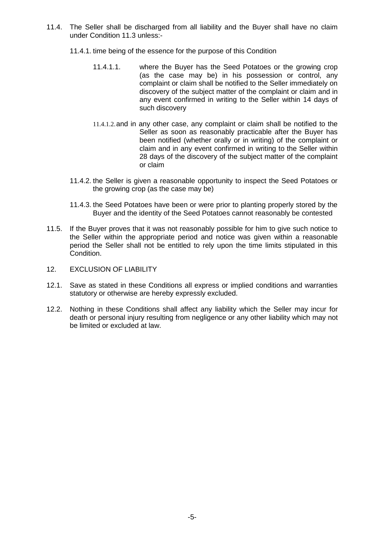- 11.4. The Seller shall be discharged from all liability and the Buyer shall have no claim under Condition 11.3 unless:-
	- 11.4.1. time being of the essence for the purpose of this Condition
		- 11.4.1.1. where the Buyer has the Seed Potatoes or the growing crop (as the case may be) in his possession or control, any complaint or claim shall be notified to the Seller immediately on discovery of the subject matter of the complaint or claim and in any event confirmed in writing to the Seller within 14 days of such discovery
		- 11.4.1.2.and in any other case, any complaint or claim shall be notified to the Seller as soon as reasonably practicable after the Buyer has been notified (whether orally or in writing) of the complaint or claim and in any event confirmed in writing to the Seller within 28 days of the discovery of the subject matter of the complaint or claim
	- 11.4.2. the Seller is given a reasonable opportunity to inspect the Seed Potatoes or the growing crop (as the case may be)
	- 11.4.3. the Seed Potatoes have been or were prior to planting properly stored by the Buyer and the identity of the Seed Potatoes cannot reasonably be contested
- 11.5. If the Buyer proves that it was not reasonably possible for him to give such notice to the Seller within the appropriate period and notice was given within a reasonable period the Seller shall not be entitled to rely upon the time limits stipulated in this Condition.
- 12. EXCLUSION OF LIABILITY
- 12.1. Save as stated in these Conditions all express or implied conditions and warranties statutory or otherwise are hereby expressly excluded.
- 12.2. Nothing in these Conditions shall affect any liability which the Seller may incur for death or personal injury resulting from negligence or any other liability which may not be limited or excluded at law.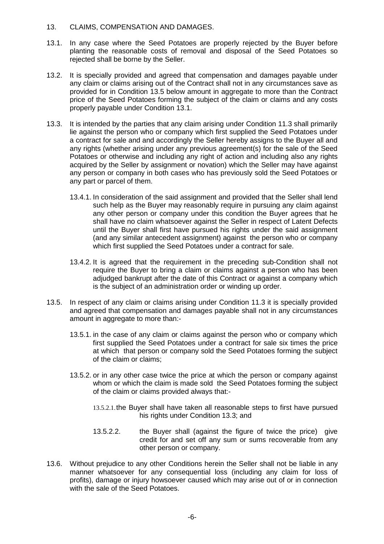# 13. CLAIMS, COMPENSATION AND DAMAGES.

- 13.1. In any case where the Seed Potatoes are properly rejected by the Buyer before planting the reasonable costs of removal and disposal of the Seed Potatoes so rejected shall be borne by the Seller.
- 13.2. It is specially provided and agreed that compensation and damages payable under any claim or claims arising out of the Contract shall not in any circumstances save as provided for in Condition 13.5 below amount in aggregate to more than the Contract price of the Seed Potatoes forming the subject of the claim or claims and any costs properly payable under Condition 13.1.
- 13.3. It is intended by the parties that any claim arising under Condition 11.3 shall primarily lie against the person who or company which first supplied the Seed Potatoes under a contract for sale and and accordingly the Seller hereby assigns to the Buyer all and any rights (whether arising under any previous agreement(s) for the sale of the Seed Potatoes or otherwise and including any right of action and including also any rights acquired by the Seller by assignment or novation) which the Seller may have against any person or company in both cases who has previously sold the Seed Potatoes or any part or parcel of them.
	- 13.4.1. In consideration of the said assignment and provided that the Seller shall lend such help as the Buyer may reasonably require in pursuing any claim against any other person or company under this condition the Buyer agrees that he shall have no claim whatsoever against the Seller in respect of Latent Defects until the Buyer shall first have pursued his rights under the said assignment (and any similar antecedent assignment) against the person who or company which first supplied the Seed Potatoes under a contract for sale.
	- 13.4.2. It is agreed that the requirement in the preceding sub-Condition shall not require the Buyer to bring a claim or claims against a person who has been adjudged bankrupt after the date of this Contract or against a company which is the subject of an administration order or winding up order.
- 13.5. In respect of any claim or claims arising under Condition 11.3 it is specially provided and agreed that compensation and damages payable shall not in any circumstances amount in aggregate to more than:-
	- 13.5.1. in the case of any claim or claims against the person who or company which first supplied the Seed Potatoes under a contract for sale six times the price at which that person or company sold the Seed Potatoes forming the subject of the claim or claims;
	- 13.5.2. or in any other case twice the price at which the person or company against whom or which the claim is made sold the Seed Potatoes forming the subject of the claim or claims provided always that:-
		- 13.5.2.1.the Buyer shall have taken all reasonable steps to first have pursued his rights under Condition 13.3; and
		- 13.5.2.2. the Buyer shall (against the figure of twice the price) give credit for and set off any sum or sums recoverable from any other person or company.
- 13.6. Without prejudice to any other Conditions herein the Seller shall not be liable in any manner whatsoever for any consequential loss (including any claim for loss of profits), damage or injury howsoever caused which may arise out of or in connection with the sale of the Seed Potatoes.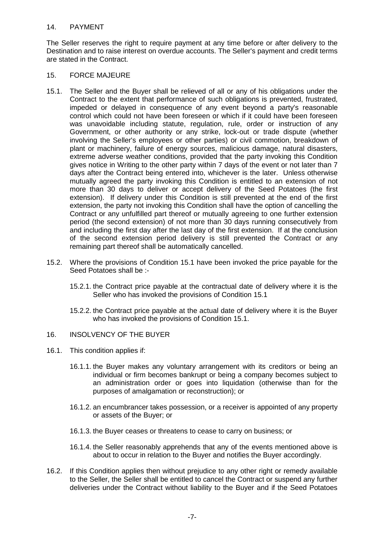# 14. PAYMENT

The Seller reserves the right to require payment at any time before or after delivery to the Destination and to raise interest on overdue accounts. The Seller's payment and credit terms are stated in the Contract.

#### 15. FORCE MAJEURE

- 15.1. The Seller and the Buyer shall be relieved of all or any of his obligations under the Contract to the extent that performance of such obligations is prevented, frustrated, impeded or delayed in consequence of any event beyond a party's reasonable control which could not have been foreseen or which if it could have been foreseen was unavoidable including statute, regulation, rule, order or instruction of any Government, or other authority or any strike, lock-out or trade dispute (whether involving the Seller's employees or other parties) or civil commotion, breakdown of plant or machinery, failure of energy sources, malicious damage, natural disasters, extreme adverse weather conditions, provided that the party invoking this Condition gives notice in Writing to the other party within 7 days of the event or not later than 7 days after the Contract being entered into, whichever is the later. Unless otherwise mutually agreed the party invoking this Condition is entitled to an extension of not more than 30 days to deliver or accept delivery of the Seed Potatoes (the first extension). If delivery under this Condition is still prevented at the end of the first extension, the party not invoking this Condition shall have the option of cancelling the Contract or any unfulfilled part thereof or mutually agreeing to one further extension period (the second extension) of not more than 30 days running consecutively from and including the first day after the last day of the first extension. If at the conclusion of the second extension period delivery is still prevented the Contract or any remaining part thereof shall be automatically cancelled.
- 15.2. Where the provisions of Condition 15.1 have been invoked the price payable for the Seed Potatoes shall be :-
	- 15.2.1. the Contract price payable at the contractual date of delivery where it is the Seller who has invoked the provisions of Condition 15.1
	- 15.2.2. the Contract price payable at the actual date of delivery where it is the Buyer who has invoked the provisions of Condition 15.1.
- 16. INSOLVENCY OF THE BUYER
- 16.1. This condition applies if:
	- 16.1.1. the Buyer makes any voluntary arrangement with its creditors or being an individual or firm becomes bankrupt or being a company becomes subject to an administration order or goes into liquidation (otherwise than for the purposes of amalgamation or reconstruction); or
	- 16.1.2. an encumbrancer takes possession, or a receiver is appointed of any property or assets of the Buyer; or
	- 16.1.3. the Buyer ceases or threatens to cease to carry on business; or
	- 16.1.4. the Seller reasonably apprehends that any of the events mentioned above is about to occur in relation to the Buyer and notifies the Buyer accordingly.
- 16.2. If this Condition applies then without prejudice to any other right or remedy available to the Seller, the Seller shall be entitled to cancel the Contract or suspend any further deliveries under the Contract without liability to the Buyer and if the Seed Potatoes